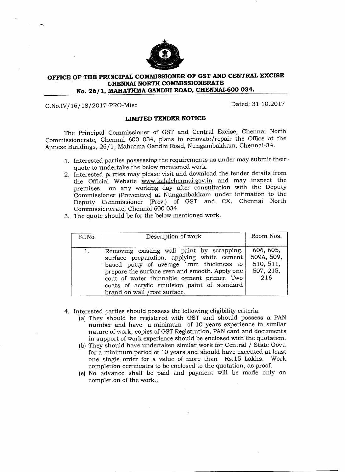

## **OFFICE OF THE PRINCIPAL COMMISSIONER OF GST AND CENTRAL EXCISE CHENNAI NORTH COMMISSIONERATE No. 26/1, MAHATHMA GANDHI ROAD, CHENNAI-600 034.**

## C.No.IV/16/18/2017 PRO-Misc Dated: 31.10.2017

## **LIMITED TENDER NOTICE**

The Principal Commissioner of GST and Central Excise, Chennai North Commissionerate, Chennai 600 034, plans to renovate/repair the Office at the Annexe Buildings, 26/1, Mahatma Gandhi Road, Nungambakkam, Chennai-34.

- 1. Interested parties possessing the requirements as under may submit their quote to undertake the below mentioned work.
- 2. Interested parties may please visit and download the tender details from the Official Website www.kalalchennai.gov.in and may inspect the premises on any working day after consultation with the Deputy Commissioner (Preventive) at Nungambakkam under intimation to the Deputy Commissioner (Prey.) of GST and CX, Chennai North Commissionerate, Chennai 600 034.
- 3. The quote should be for the below mentioned work.

| S1. No | Description of work                                                                                                                                                                                                                                                                                                | Room Nos.                                                |
|--------|--------------------------------------------------------------------------------------------------------------------------------------------------------------------------------------------------------------------------------------------------------------------------------------------------------------------|----------------------------------------------------------|
| 1.     | Removing existing wall paint by scrapping,<br>surface preparation, applying white cement<br>based putty of average 1mm thickness to<br>prepare the surface even and smooth. Apply one<br>coat of water thinnable cement primer. Two<br>coats of acrylic emulsion paint of standard<br>brand on wall /roof surface. | 606, 605,<br>509A, 509,<br>510, 511,<br>507, 215,<br>216 |

- 4. Interested parties should possess the following eligibility criteria.
	- (a) They should be registered with GST and should possess a PAN number and have a minimum of 10 years experience in similar nature of work; copies of GST Registration, PAN card and documents in support of work experience should be enclosed with the quotation.
	- (b) They should have undertaken similar work for Central / State Govt. for a minimum period of 10 years and should have executed at least one single order for a value of more than Rs.15 Lakhs. Work completion certificates to be enclosed to the quotation, as proof.
	- (e) No advance shall be paid and payment will be made only on complet on of the work.;